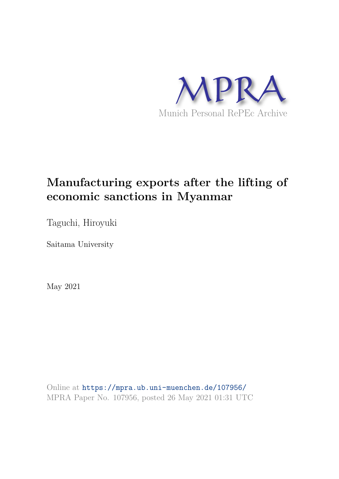

# **Manufacturing exports after the lifting of economic sanctions in Myanmar**

Taguchi, Hiroyuki

Saitama University

May 2021

Online at https://mpra.ub.uni-muenchen.de/107956/ MPRA Paper No. 107956, posted 26 May 2021 01:31 UTC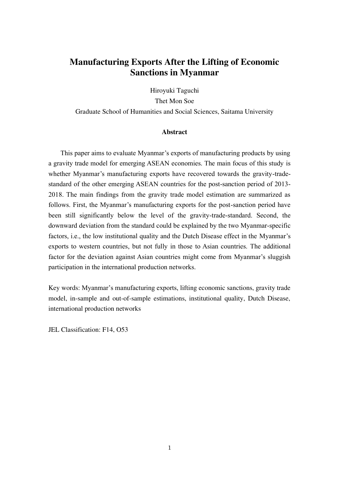# **Manufacturing Exports After the Lifting of Economic Sanctions in Myanmar**

Hiroyuki Taguchi Thet Mon Soe Graduate School of Humanities and Social Sciences, Saitama University

# **Abstract**

This paper aims to evaluate Myanmar's exports of manufacturing products by using a gravity trade model for emerging ASEAN economies. The main focus of this study is whether Myanmar's manufacturing exports have recovered towards the gravity-tradestandard of the other emerging ASEAN countries for the post-sanction period of 2013- 2018. The main findings from the gravity trade model estimation are summarized as follows. First, the Myanmar's manufacturing exports for the post-sanction period have been still significantly below the level of the gravity-trade-standard. Second, the downward deviation from the standard could be explained by the two Myanmar-specific factors, i.e., the low institutional quality and the Dutch Disease effect in the Myanmar's exports to western countries, but not fully in those to Asian countries. The additional factor for the deviation against Asian countries might come from Myanmar's sluggish participation in the international production networks.

Key words: Myanmar's manufacturing exports, lifting economic sanctions, gravity trade model, in-sample and out-of-sample estimations, institutional quality, Dutch Disease, international production networks

JEL Classification: F14, O53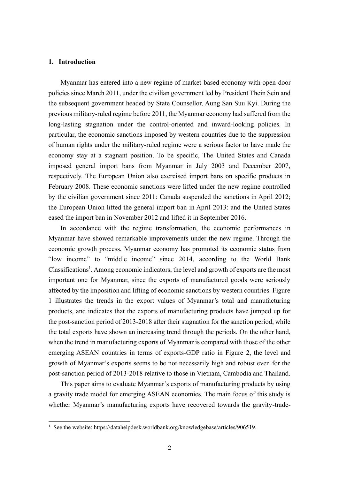# **1. Introduction**

Myanmar has entered into a new regime of market-based economy with open-door policies since March 2011, under the civilian government led by President Thein Sein and the subsequent government headed by State Counsellor, Aung San Suu Kyi. During the previous military-ruled regime before 2011, the Myanmar economy had suffered from the long-lasting stagnation under the control-oriented and inward-looking policies. In particular, the economic sanctions imposed by western countries due to the suppression of human rights under the military-ruled regime were a serious factor to have made the economy stay at a stagnant position. To be specific, The United States and Canada imposed general import bans from Myanmar in July 2003 and December 2007, respectively. The European Union also exercised import bans on specific products in February 2008. These economic sanctions were lifted under the new regime controlled by the civilian government since 2011: Canada suspended the sanctions in April 2012; the European Union lifted the general import ban in April 2013: and the United States eased the import ban in November 2012 and lifted it in September 2016.

In accordance with the regime transformation, the economic performances in Myanmar have showed remarkable improvements under the new regime. Through the economic growth process, Myanmar economy has promoted its economic status from "low income" to "middle income" since 2014, according to the World Bank Classifications<sup>1</sup>. Among economic indicators, the level and growth of exports are the most important one for Myanmar, since the exports of manufactured goods were seriously affected by the imposition and lifting of economic sanctions by western countries. Figure 1 illustrates the trends in the export values of Myanmar's total and manufacturing products, and indicates that the exports of manufacturing products have jumped up for the post-sanction period of 2013-2018 after their stagnation for the sanction period, while the total exports have shown an increasing trend through the periods. On the other hand, when the trend in manufacturing exports of Myanmar is compared with those of the other emerging ASEAN countries in terms of exports-GDP ratio in Figure 2, the level and growth of Myanmar's exports seems to be not necessarily high and robust even for the post-sanction period of 2013-2018 relative to those in Vietnam, Cambodia and Thailand.

This paper aims to evaluate Myanmar's exports of manufacturing products by using a gravity trade model for emerging ASEAN economies. The main focus of this study is whether Myanmar's manufacturing exports have recovered towards the gravity-trade-

<sup>&</sup>lt;sup>1</sup> See the website: https://datahelpdesk.worldbank.org/knowledgebase/articles/906519.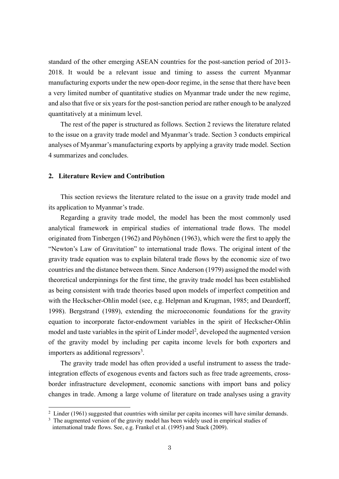standard of the other emerging ASEAN countries for the post-sanction period of 2013- 2018. It would be a relevant issue and timing to assess the current Myanmar manufacturing exports under the new open-door regime, in the sense that there have been a very limited number of quantitative studies on Myanmar trade under the new regime, and also that five or six years for the post-sanction period are rather enough to be analyzed quantitatively at a minimum level.

The rest of the paper is structured as follows. Section 2 reviews the literature related to the issue on a gravity trade model and Myanmar's trade. Section 3 conducts empirical analyses of Myanmar's manufacturing exports by applying a gravity trade model. Section 4 summarizes and concludes.

## **2. Literature Review and Contribution**

This section reviews the literature related to the issue on a gravity trade model and its application to Myanmar's trade.

Regarding a gravity trade model, the model has been the most commonly used analytical framework in empirical studies of international trade flows. The model originated from Tinbergen (1962) and Pöyhönen (1963), which were the first to apply the "Newton's Law of Gravitation" to international trade flows. The original intent of the gravity trade equation was to explain bilateral trade flows by the economic size of two countries and the distance between them. Since Anderson (1979) assigned the model with theoretical underpinnings for the first time, the gravity trade model has been established as being consistent with trade theories based upon models of imperfect competition and with the Heckscher-Ohlin model (see, e.g. Helpman and Krugman, 1985; and Deardorff, 1998). Bergstrand (1989), extending the microeconomic foundations for the gravity equation to incorporate factor-endowment variables in the spirit of Heckscher-Ohlin model and taste variables in the spirit of Linder model<sup>2</sup>, developed the augmented version of the gravity model by including per capita income levels for both exporters and importers as additional regressors<sup>3</sup>.

The gravity trade model has often provided a useful instrument to assess the tradeintegration effects of exogenous events and factors such as free trade agreements, crossborder infrastructure development, economic sanctions with import bans and policy changes in trade. Among a large volume of literature on trade analyses using a gravity

 $2$  Linder (1961) suggested that countries with similar per capita incomes will have similar demands.

<sup>&</sup>lt;sup>3</sup> The augmented version of the gravity model has been widely used in empirical studies of international trade flows. See, e.g. Frankel et al. (1995) and Stack (2009).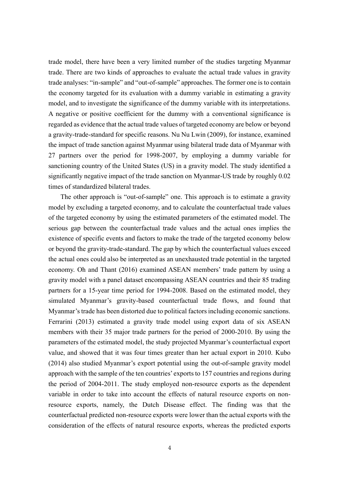trade model, there have been a very limited number of the studies targeting Myanmar trade. There are two kinds of approaches to evaluate the actual trade values in gravity trade analyses: "in-sample" and "out-of-sample" approaches. The former one is to contain the economy targeted for its evaluation with a dummy variable in estimating a gravity model, and to investigate the significance of the dummy variable with its interpretations. A negative or positive coefficient for the dummy with a conventional significance is regarded as evidence that the actual trade values of targeted economy are below or beyond a gravity-trade-standard for specific reasons. Nu Nu Lwin (2009), for instance, examined the impact of trade sanction against Myanmar using bilateral trade data of Myanmar with 27 partners over the period for 1998-2007, by employing a dummy variable for sanctioning country of the United States (US) in a gravity model. The study identified a significantly negative impact of the trade sanction on Myanmar-US trade by roughly 0.02 times of standardized bilateral trades.

The other approach is "out-of-sample" one. This approach is to estimate a gravity model by excluding a targeted economy, and to calculate the counterfactual trade values of the targeted economy by using the estimated parameters of the estimated model. The serious gap between the counterfactual trade values and the actual ones implies the existence of specific events and factors to make the trade of the targeted economy below or beyond the gravity-trade-standard. The gap by which the counterfactual values exceed the actual ones could also be interpreted as an unexhausted trade potential in the targeted economy. Oh and Thant (2016) examined ASEAN members' trade pattern by using a gravity model with a panel dataset encompassing ASEAN countries and their 85 trading partners for a 15-year time period for 1994-2008. Based on the estimated model, they simulated Myanmar's gravity-based counterfactual trade flows, and found that Myanmar's trade has been distorted due to political factors including economic sanctions. Ferrarini (2013) estimated a gravity trade model using export data of six ASEAN members with their 35 major trade partners for the period of 2000-2010. By using the parameters of the estimated model, the study projected Myanmar's counterfactual export value, and showed that it was four times greater than her actual export in 2010. Kubo (2014) also studied Myanmar's export potential using the out-of-sample gravity model approach with the sample of the ten countries' exports to 157 countries and regions during the period of 2004-2011. The study employed non-resource exports as the dependent variable in order to take into account the effects of natural resource exports on nonresource exports, namely, the Dutch Disease effect. The finding was that the counterfactual predicted non-resource exports were lower than the actual exports with the consideration of the effects of natural resource exports, whereas the predicted exports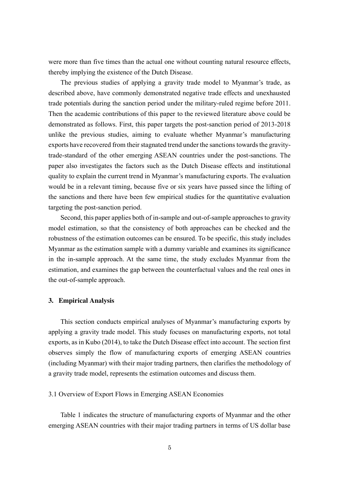were more than five times than the actual one without counting natural resource effects, thereby implying the existence of the Dutch Disease.

The previous studies of applying a gravity trade model to Myanmar's trade, as described above, have commonly demonstrated negative trade effects and unexhausted trade potentials during the sanction period under the military-ruled regime before 2011. Then the academic contributions of this paper to the reviewed literature above could be demonstrated as follows. First, this paper targets the post-sanction period of 2013-2018 unlike the previous studies, aiming to evaluate whether Myanmar's manufacturing exports have recovered from their stagnated trend under the sanctions towards the gravitytrade-standard of the other emerging ASEAN countries under the post-sanctions. The paper also investigates the factors such as the Dutch Disease effects and institutional quality to explain the current trend in Myanmar's manufacturing exports. The evaluation would be in a relevant timing, because five or six years have passed since the lifting of the sanctions and there have been few empirical studies for the quantitative evaluation targeting the post-sanction period.

Second, this paper applies both of in-sample and out-of-sample approaches to gravity model estimation, so that the consistency of both approaches can be checked and the robustness of the estimation outcomes can be ensured. To be specific, this study includes Myanmar as the estimation sample with a dummy variable and examines its significance in the in-sample approach. At the same time, the study excludes Myanmar from the estimation, and examines the gap between the counterfactual values and the real ones in the out-of-sample approach.

#### **3. Empirical Analysis**

This section conducts empirical analyses of Myanmar's manufacturing exports by applying a gravity trade model. This study focuses on manufacturing exports, not total exports, as in Kubo (2014), to take the Dutch Disease effect into account. The section first observes simply the flow of manufacturing exports of emerging ASEAN countries (including Myanmar) with their major trading partners, then clarifies the methodology of a gravity trade model, represents the estimation outcomes and discuss them.

#### 3.1 Overview of Export Flows in Emerging ASEAN Economies

Table 1 indicates the structure of manufacturing exports of Myanmar and the other emerging ASEAN countries with their major trading partners in terms of US dollar base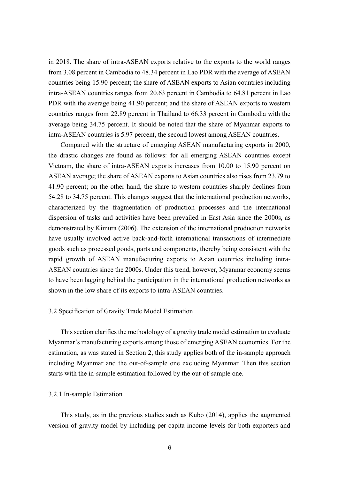in 2018. The share of intra-ASEAN exports relative to the exports to the world ranges from 3.08 percent in Cambodia to 48.34 percent in Lao PDR with the average of ASEAN countries being 15.90 percent; the share of ASEAN exports to Asian countries including intra-ASEAN countries ranges from 20.63 percent in Cambodia to 64.81 percent in Lao PDR with the average being 41.90 percent; and the share of ASEAN exports to western countries ranges from 22.89 percent in Thailand to 66.33 percent in Cambodia with the average being 34.75 percent. It should be noted that the share of Myanmar exports to intra-ASEAN countries is 5.97 percent, the second lowest among ASEAN countries.

Compared with the structure of emerging ASEAN manufacturing exports in 2000, the drastic changes are found as follows: for all emerging ASEAN countries except Vietnam, the share of intra-ASEAN exports increases from 10.00 to 15.90 percent on ASEAN average; the share of ASEAN exports to Asian countries also rises from 23.79 to 41.90 percent; on the other hand, the share to western countries sharply declines from 54.28 to 34.75 percent. This changes suggest that the international production networks, characterized by the fragmentation of production processes and the international dispersion of tasks and activities have been prevailed in East Asia since the 2000s, as demonstrated by Kimura (2006). The extension of the international production networks have usually involved active back-and-forth international transactions of intermediate goods such as processed goods, parts and components, thereby being consistent with the rapid growth of ASEAN manufacturing exports to Asian countries including intra-ASEAN countries since the 2000s. Under this trend, however, Myanmar economy seems to have been lagging behind the participation in the international production networks as shown in the low share of its exports to intra-ASEAN countries.

# 3.2 Specification of Gravity Trade Model Estimation

This section clarifies the methodology of a gravity trade model estimation to evaluate Myanmar's manufacturing exports among those of emerging ASEAN economies. For the estimation, as was stated in Section 2, this study applies both of the in-sample approach including Myanmar and the out-of-sample one excluding Myanmar. Then this section starts with the in-sample estimation followed by the out-of-sample one.

#### 3.2.1 In-sample Estimation

This study, as in the previous studies such as Kubo (2014), applies the augmented version of gravity model by including per capita income levels for both exporters and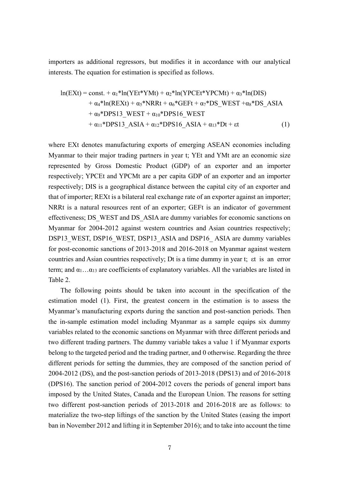importers as additional regressors, but modifies it in accordance with our analytical interests. The equation for estimation is specified as follows.

$$
\ln(EXt) = \text{const.} + \alpha_1 * \ln(YEt*YMt) + \alpha_2 * \ln(YPCEt*YPCMt) + \alpha_3 * \ln(DIS) + \alpha_4 * \ln(REXt) + \alpha_5 * NRRt + \alpha_6 * GEFt + \alpha_7 * DS\_WEST + \alpha_8 * DS\_ASIA + \alpha_9 * DPS13_WEST + \alpha_{10} * DPS16_WEST + \alpha_{11} * DPS13_A SIA + \alpha_{12} * DPS16_A SIA + \alpha_{13} * Dt + \epsilon t
$$
 (1)

where EXt denotes manufacturing exports of emerging ASEAN economies including Myanmar to their major trading partners in year t; YEt and YMt are an economic size represented by Gross Domestic Product (GDP) of an exporter and an importer respectively; YPCEt and YPCMt are a per capita GDP of an exporter and an importer respectively; DIS is a geographical distance between the capital city of an exporter and that of importer; REXt is a bilateral real exchange rate of an exporter against an importer; NRRt is a natural resources rent of an exporter; GEFt is an indicator of government effectiveness; DS\_WEST and DS\_ASIA are dummy variables for economic sanctions on Myanmar for 2004-2012 against western countries and Asian countries respectively; DSP13 WEST, DSP16 WEST, DSP13 ASIA and DSP16 ASIA are dummy variables for post-economic sanctions of 2013-2018 and 2016-2018 on Myanmar against western countries and Asian countries respectively; Dt is a time dummy in year t; εt is an error term; and  $\alpha_1 \dots \alpha_{13}$  are coefficients of explanatory variables. All the variables are listed in Table 2.

The following points should be taken into account in the specification of the estimation model (1). First, the greatest concern in the estimation is to assess the Myanmar's manufacturing exports during the sanction and post-sanction periods. Then the in-sample estimation model including Myanmar as a sample equips six dummy variables related to the economic sanctions on Myanmar with three different periods and two different trading partners. The dummy variable takes a value 1 if Myanmar exports belong to the targeted period and the trading partner, and 0 otherwise. Regarding the three different periods for setting the dummies, they are composed of the sanction period of 2004-2012 (DS), and the post-sanction periods of 2013-2018 (DPS13) and of 2016-2018 (DPS16). The sanction period of 2004-2012 covers the periods of general import bans imposed by the United States, Canada and the European Union. The reasons for setting two different post-sanction periods of 2013-2018 and 2016-2018 are as follows: to materialize the two-step liftings of the sanction by the United States (easing the import ban in November 2012 and lifting it in September 2016); and to take into account the time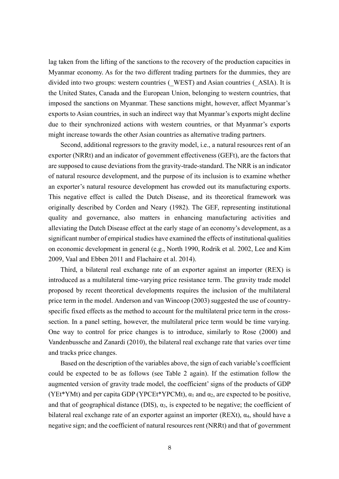lag taken from the lifting of the sanctions to the recovery of the production capacities in Myanmar economy. As for the two different trading partners for the dummies, they are divided into two groups: western countries (\_WEST) and Asian countries (\_ASIA). It is the United States, Canada and the European Union, belonging to western countries, that imposed the sanctions on Myanmar. These sanctions might, however, affect Myanmar's exports to Asian countries, in such an indirect way that Myanmar's exports might decline due to their synchronized actions with western countries, or that Myanmar's exports might increase towards the other Asian countries as alternative trading partners.

Second, additional regressors to the gravity model, i.e., a natural resources rent of an exporter (NRRt) and an indicator of government effectiveness (GEFt), are the factors that are supposed to cause deviations from the gravity-trade-standard. The NRR is an indicator of natural resource development, and the purpose of its inclusion is to examine whether an exporter's natural resource development has crowded out its manufacturing exports. This negative effect is called the Dutch Disease, and its theoretical framework was originally described by Corden and Neary (1982). The GEF, representing institutional quality and governance, also matters in enhancing manufacturing activities and alleviating the Dutch Disease effect at the early stage of an economy's development, as a significant number of empirical studies have examined the effects of institutional qualities on economic development in general (e.g., North 1990, Rodrik et al. 2002, Lee and Kim 2009, Vaal and Ebben 2011 and Flachaire et al. 2014).

Third, a bilateral real exchange rate of an exporter against an importer (REX) is introduced as a multilateral time-varying price resistance term. The gravity trade model proposed by recent theoretical developments requires the inclusion of the multilateral price term in the model. Anderson and van Wincoop (2003) suggested the use of countryspecific fixed effects as the method to account for the multilateral price term in the crosssection. In a panel setting, however, the multilateral price term would be time varying. One way to control for price changes is to introduce, similarly to Rose (2000) and Vandenbussche and Zanardi (2010), the bilateral real exchange rate that varies over time and tracks price changes.

Based on the description of the variables above, the sign of each variable's coefficient could be expected to be as follows (see Table 2 again). If the estimation follow the augmented version of gravity trade model, the coefficient' signs of the products of GDP (YEt\*YMt) and per capita GDP (YPCEt\*YPCMt),  $\alpha_1$  and  $\alpha_2$ , are expected to be positive, and that of geographical distance (DIS),  $\alpha_3$ , is expected to be negative; the coefficient of bilateral real exchange rate of an exporter against an importer (REXt),  $\alpha_4$ , should have a negative sign; and the coefficient of natural resources rent (NRRt) and that of government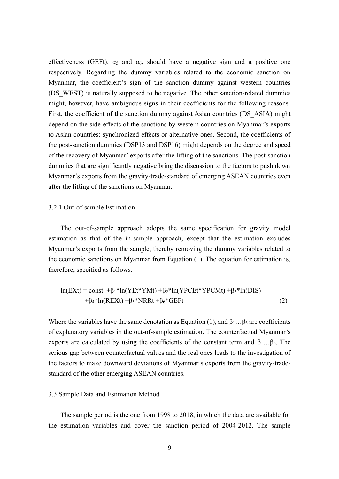effectiveness (GEFt),  $\alpha_5$  and  $\alpha_6$ , should have a negative sign and a positive one respectively. Regarding the dummy variables related to the economic sanction on Myanmar, the coefficient's sign of the sanction dummy against western countries (DS\_WEST) is naturally supposed to be negative. The other sanction-related dummies might, however, have ambiguous signs in their coefficients for the following reasons. First, the coefficient of the sanction dummy against Asian countries (DS\_ASIA) might depend on the side-effects of the sanctions by western countries on Myanmar's exports to Asian countries: synchronized effects or alternative ones. Second, the coefficients of the post-sanction dummies (DSP13 and DSP16) might depends on the degree and speed of the recovery of Myanmar' exports after the lifting of the sanctions. The post-sanction dummies that are significantly negative bring the discussion to the factors to push down Myanmar's exports from the gravity-trade-standard of emerging ASEAN countries even after the lifting of the sanctions on Myanmar.

#### 3.2.1 Out-of-sample Estimation

The out-of-sample approach adopts the same specification for gravity model estimation as that of the in-sample approach, except that the estimation excludes Myanmar's exports from the sample, thereby removing the dummy variables related to the economic sanctions on Myanmar from Equation (1). The equation for estimation is, therefore, specified as follows.

$$
\ln(EXt) = \text{const.} + \beta_1 * \ln(YEt*YMt) + \beta_2 * \ln(YPCEt*YPCMt) + \beta_3 * \ln(DIS) + \beta_4 * \ln(REXt) + \beta_5 * NRRt + \beta_6 * GEFt
$$
\n(2)

Where the variables have the same denotation as Equation (1), and  $\beta_1 \dots \beta_6$  are coefficients of explanatory variables in the out-of-sample estimation. The counterfactual Myanmar's exports are calculated by using the coefficients of the constant term and  $\beta_1 \dots \beta_6$ . The serious gap between counterfactual values and the real ones leads to the investigation of the factors to make downward deviations of Myanmar's exports from the gravity-tradestandard of the other emerging ASEAN countries.

#### 3.3 Sample Data and Estimation Method

The sample period is the one from 1998 to 2018, in which the data are available for the estimation variables and cover the sanction period of 2004-2012. The sample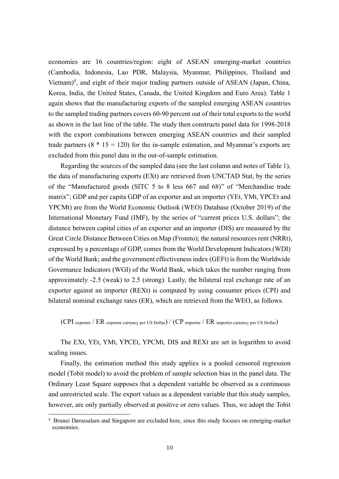economies are 16 countries/region: eight of ASEAN emerging-market countries (Cambodia, Indonesia, Lao PDR, Malaysia, Myanmar, Philippines, Thailand and Vietnam)<sup>4</sup>, and eight of their major trading partners outside of ASEAN (Japan, China, Korea, India, the United States, Canada, the United Kingdom and Euro Area). Table 1 again shows that the manufacturing exports of the sampled emerging ASEAN countries to the sampled trading partners covers 60-90 percent out of their total exports to the world as shown in the last line of the table. The study then constructs panel data for 1998-2018 with the export combinations between emerging ASEAN countries and their sampled trade partners  $(8 * 15 = 120)$  for the in-sample estimation, and Myanmar's exports are excluded from this panel data in the out-of-sample estimation.

Regarding the sources of the sampled data (see the last column and notes of Table 1), the data of manufacturing exports (EXt) are retrieved from UNCTAD Stat, by the series of the "Manufactured goods (SITC 5 to 8 less 667 and 68)" of "Merchandise trade matrix"; GDP and per capita GDP of an exporter and an importer (YEt, YMt, YPCEt and YPCMt) are from the World Economic Outlook (WEO) Database (October 2019) of the International Monetary Fund (IMF), by the series of "current prices U.S. dollars"; the distance between capital cities of an exporter and an importer (DIS) are measured by the Great Circle Distance Between Cities on Map (Fromto); the natural resources rent (NRRt), expressed by a percentage of GDP, comes from the World Development Indicators (WDI) of the World Bank; and the government effectiveness index (GEFt) is from the Worldwide Governance Indicators (WGI) of the World Bank, which takes the number ranging from approximately -2.5 (weak) to 2.5 (strong). Lastly, the bilateral real exchange rate of an exporter against an importer (REXt) is computed by using consumer prices (CPI) and bilateral nominal exchange rates (ER), which are retrieved from the WEO, as follows.

(CPI exporter / ER exporter currency per US Dollar) / (CP importer / ER importer currency per US Dollar)

The EXt, YEt, YMt, YPCEt, YPCMt, DIS and REXt are set in logarithm to avoid scaling issues.

Finally, the estimation method this study applies is a pooled censored regression model (Tobit model) to avoid the problem of sample selection bias in the panel data. The Ordinary Least Square supposes that a dependent variable be observed as a continuous and unrestricted scale. The export values as a dependent variable that this study samples, however, are only partially observed at positive or zero values. Thus, we adopt the Tobit

<sup>&</sup>lt;sup>4</sup> Brunei Darussalam and Singapore are excluded here, since this study focuses on emerging-market economies.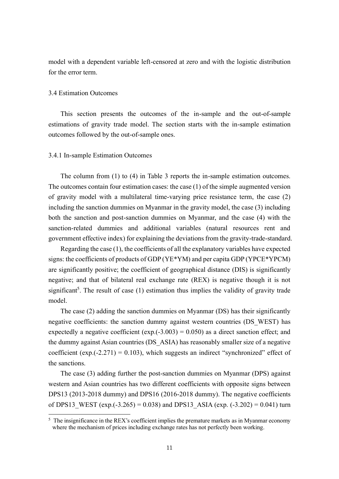model with a dependent variable left-censored at zero and with the logistic distribution for the error term.

# 3.4 Estimation Outcomes

This section presents the outcomes of the in-sample and the out-of-sample estimations of gravity trade model. The section starts with the in-sample estimation outcomes followed by the out-of-sample ones.

# 3.4.1 In-sample Estimation Outcomes

The column from (1) to (4) in Table 3 reports the in-sample estimation outcomes. The outcomes contain four estimation cases: the case (1) of the simple augmented version of gravity model with a multilateral time-varying price resistance term, the case (2) including the sanction dummies on Myanmar in the gravity model, the case (3) including both the sanction and post-sanction dummies on Myanmar, and the case (4) with the sanction-related dummies and additional variables (natural resources rent and government effective index) for explaining the deviations from the gravity-trade-standard.

Regarding the case (1), the coefficients of all the explanatory variables have expected signs: the coefficients of products of GDP (YE\*YM) and per capita GDP (YPCE\*YPCM) are significantly positive; the coefficient of geographical distance (DIS) is significantly negative; and that of bilateral real exchange rate (REX) is negative though it is not significant<sup>5</sup>. The result of case  $(1)$  estimation thus implies the validity of gravity trade model.

The case (2) adding the sanction dummies on Myanmar (DS) has their significantly negative coefficients: the sanction dummy against western countries (DS\_WEST) has expectedly a negative coefficient (exp. $(-3.003) = 0.050$ ) as a direct sanction effect; and the dummy against Asian countries (DS\_ASIA) has reasonably smaller size of a negative coefficient (exp.(-2.271) = 0.103), which suggests an indirect "synchronized" effect of the sanctions.

The case (3) adding further the post-sanction dummies on Myanmar (DPS) against western and Asian countries has two different coefficients with opposite signs between DPS13 (2013-2018 dummy) and DPS16 (2016-2018 dummy). The negative coefficients of DPS13 WEST (exp.(-3.265) = 0.038) and DPS13 ASIA (exp. (-3.202) = 0.041) turn

 $<sup>5</sup>$  The insignificance in the REX's coefficient implies the premature markets as in Myanmar economy</sup> where the mechanism of prices including exchange rates has not perfectly been working.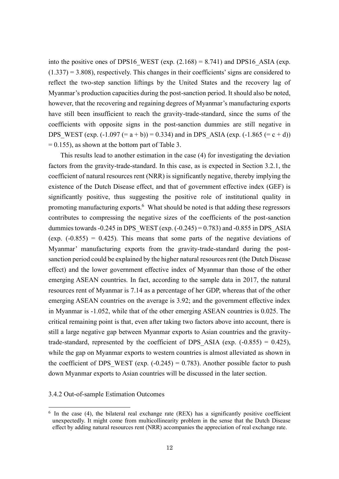into the positive ones of DPS16 WEST (exp.  $(2.168) = 8.741$ ) and DPS16 ASIA (exp.  $(1.337) = 3.808$ , respectively. This changes in their coefficients' signs are considered to reflect the two-step sanction liftings by the United States and the recovery lag of Myanmar's production capacities during the post-sanction period. It should also be noted, however, that the recovering and regaining degrees of Myanmar's manufacturing exports have still been insufficient to reach the gravity-trade-standard, since the sums of the coefficients with opposite signs in the post-sanction dummies are still negative in DPS WEST (exp.  $(-1.097 (= a + b)) = 0.334$ ) and in DPS ASIA (exp.  $(-1.865 (= c + d))$ )  $= 0.155$ ), as shown at the bottom part of Table 3.

This results lead to another estimation in the case (4) for investigating the deviation factors from the gravity-trade-standard. In this case, as is expected in Section 3.2.1, the coefficient of natural resources rent (NRR) is significantly negative, thereby implying the existence of the Dutch Disease effect, and that of government effective index (GEF) is significantly positive, thus suggesting the positive role of institutional quality in promoting manufacturing exports.<sup>6</sup> What should be noted is that adding these regressors contributes to compressing the negative sizes of the coefficients of the post-sanction dummies towards -0.245 in DPS\_WEST (exp.  $(-0.245) = 0.783$ ) and -0.855 in DPS\_ASIA (exp.  $(-0.855) = 0.425$ ). This means that some parts of the negative deviations of Myanmar' manufacturing exports from the gravity-trade-standard during the postsanction period could be explained by the higher natural resources rent (the Dutch Disease effect) and the lower government effective index of Myanmar than those of the other emerging ASEAN countries. In fact, according to the sample data in 2017, the natural resources rent of Myanmar is 7.14 as a percentage of her GDP, whereas that of the other emerging ASEAN countries on the average is 3.92; and the government effective index in Myanmar is -1.052, while that of the other emerging ASEAN countries is 0.025. The critical remaining point is that, even after taking two factors above into account, there is still a large negative gap between Myanmar exports to Asian countries and the gravitytrade-standard, represented by the coefficient of DPS ASIA (exp.  $(-0.855) = 0.425$ ), while the gap on Myanmar exports to western countries is almost alleviated as shown in the coefficient of DPS WEST (exp.  $(-0.245) = 0.783$ ). Another possible factor to push down Myanmar exports to Asian countries will be discussed in the later section.

3.4.2 Out-of-sample Estimation Outcomes

<sup>&</sup>lt;sup>6</sup> In the case (4), the bilateral real exchange rate (REX) has a significantly positive coefficient unexpectedly. It might come from multicollinearity problem in the sense that the Dutch Disease effect by adding natural resources rent (NRR) accompanies the appreciation of real exchange rate.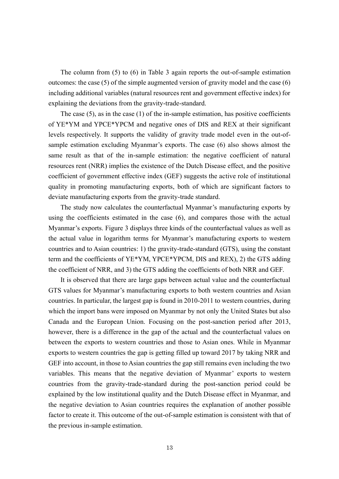The column from (5) to (6) in Table 3 again reports the out-of-sample estimation outcomes: the case  $(5)$  of the simple augmented version of gravity model and the case  $(6)$ including additional variables (natural resources rent and government effective index) for explaining the deviations from the gravity-trade-standard.

The case (5), as in the case (1) of the in-sample estimation, has positive coefficients of YE\*YM and YPCE\*YPCM and negative ones of DIS and REX at their significant levels respectively. It supports the validity of gravity trade model even in the out-ofsample estimation excluding Myanmar's exports. The case (6) also shows almost the same result as that of the in-sample estimation: the negative coefficient of natural resources rent (NRR) implies the existence of the Dutch Disease effect, and the positive coefficient of government effective index (GEF) suggests the active role of institutional quality in promoting manufacturing exports, both of which are significant factors to deviate manufacturing exports from the gravity-trade standard.

The study now calculates the counterfactual Myanmar's manufacturing exports by using the coefficients estimated in the case (6), and compares those with the actual Myanmar's exports. Figure 3 displays three kinds of the counterfactual values as well as the actual value in logarithm terms for Myanmar's manufacturing exports to western countries and to Asian countries: 1) the gravity-trade-standard (GTS), using the constant term and the coefficients of YE\*YM, YPCE\*YPCM, DIS and REX), 2) the GTS adding the coefficient of NRR, and 3) the GTS adding the coefficients of both NRR and GEF.

It is observed that there are large gaps between actual value and the counterfactual GTS values for Myanmar's manufacturing exports to both western countries and Asian countries. In particular, the largest gap is found in 2010-2011 to western countries, during which the import bans were imposed on Myanmar by not only the United States but also Canada and the European Union. Focusing on the post-sanction period after 2013, however, there is a difference in the gap of the actual and the counterfactual values on between the exports to western countries and those to Asian ones. While in Myanmar exports to western countries the gap is getting filled up toward 2017 by taking NRR and GEF into account, in those to Asian countries the gap still remains even including the two variables. This means that the negative deviation of Myanmar' exports to western countries from the gravity-trade-standard during the post-sanction period could be explained by the low institutional quality and the Dutch Disease effect in Myanmar, and the negative deviation to Asian countries requires the explanation of another possible factor to create it. This outcome of the out-of-sample estimation is consistent with that of the previous in-sample estimation.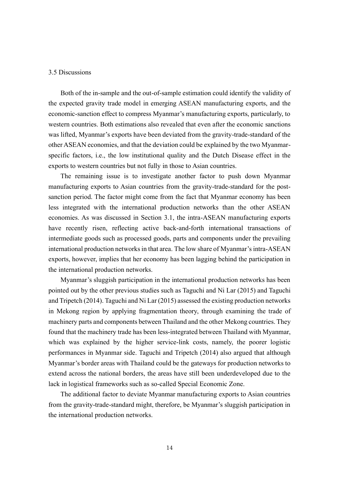# 3.5 Discussions

Both of the in-sample and the out-of-sample estimation could identify the validity of the expected gravity trade model in emerging ASEAN manufacturing exports, and the economic-sanction effect to compress Myanmar's manufacturing exports, particularly, to western countries. Both estimations also revealed that even after the economic sanctions was lifted, Myanmar's exports have been deviated from the gravity-trade-standard of the other ASEAN economies, and that the deviation could be explained by the two Myanmarspecific factors, i.e., the low institutional quality and the Dutch Disease effect in the exports to western countries but not fully in those to Asian countries.

The remaining issue is to investigate another factor to push down Myanmar manufacturing exports to Asian countries from the gravity-trade-standard for the postsanction period. The factor might come from the fact that Myanmar economy has been less integrated with the international production networks than the other ASEAN economies. As was discussed in Section 3.1, the intra-ASEAN manufacturing exports have recently risen, reflecting active back-and-forth international transactions of intermediate goods such as processed goods, parts and components under the prevailing international production networks in that area. The low share of Myanmar's intra-ASEAN exports, however, implies that her economy has been lagging behind the participation in the international production networks.

Myanmar's sluggish participation in the international production networks has been pointed out by the other previous studies such as Taguchi and Ni Lar (2015) and Taguchi and Tripetch (2014). Taguchi and Ni Lar (2015) assessed the existing production networks in Mekong region by applying fragmentation theory, through examining the trade of machinery parts and components between Thailand and the other Mekong countries. They found that the machinery trade has been less-integrated between Thailand with Myanmar, which was explained by the higher service-link costs, namely, the poorer logistic performances in Myanmar side. Taguchi and Tripetch (2014) also argued that although Myanmar's border areas with Thailand could be the gateways for production networks to extend across the national borders, the areas have still been underdeveloped due to the lack in logistical frameworks such as so-called Special Economic Zone.

The additional factor to deviate Myanmar manufacturing exports to Asian countries from the gravity-trade-standard might, therefore, be Myanmar's sluggish participation in the international production networks.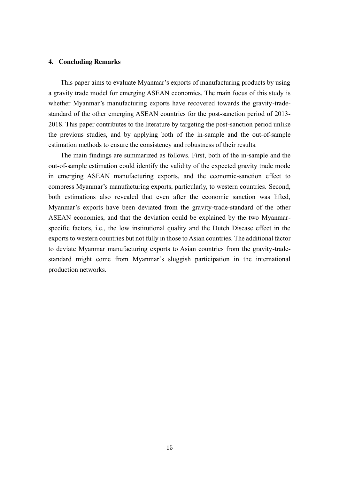## **4. Concluding Remarks**

This paper aims to evaluate Myanmar's exports of manufacturing products by using a gravity trade model for emerging ASEAN economies. The main focus of this study is whether Myanmar's manufacturing exports have recovered towards the gravity-tradestandard of the other emerging ASEAN countries for the post-sanction period of 2013- 2018. This paper contributes to the literature by targeting the post-sanction period unlike the previous studies, and by applying both of the in-sample and the out-of-sample estimation methods to ensure the consistency and robustness of their results.

The main findings are summarized as follows. First, both of the in-sample and the out-of-sample estimation could identify the validity of the expected gravity trade mode in emerging ASEAN manufacturing exports, and the economic-sanction effect to compress Myanmar's manufacturing exports, particularly, to western countries. Second, both estimations also revealed that even after the economic sanction was lifted, Myanmar's exports have been deviated from the gravity-trade-standard of the other ASEAN economies, and that the deviation could be explained by the two Myanmarspecific factors, i.e., the low institutional quality and the Dutch Disease effect in the exports to western countries but not fully in those to Asian countries. The additional factor to deviate Myanmar manufacturing exports to Asian countries from the gravity-tradestandard might come from Myanmar's sluggish participation in the international production networks.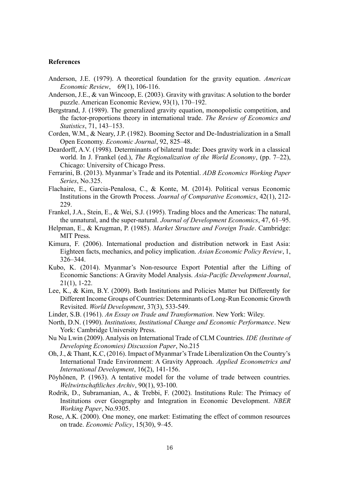### **References**

- Anderson, J.E. (1979). A theoretical foundation for the gravity equation. *American Economic Review*, 69(1), 106-116.
- Anderson, J.E., & van Wincoop, E. (2003). Gravity with gravitas: A solution to the border puzzle. American Economic Review, 93(1), 170–192.
- Bergstrand, J. (1989). The generalized gravity equation, monopolistic competition, and the factor-proportions theory in international trade. *The Review of Economics and Statistics*, 71, 143–153.
- Corden, W.M., & Neary, J.P. (1982). Booming Sector and De-Industrialization in a Small Open Economy. *Economic Journal*, 92, 825–48.
- Deardorff, A.V. (1998). Determinants of bilateral trade: Does gravity work in a classical world. In J. Frankel (ed.), *The Regionalization of the World Economy*, (pp. 7–22), Chicago: University of Chicago Press.
- Ferrarini, B. (2013). Myanmar's Trade and its Potential. *ADB Economics Working Paper Series*, No.325.
- Flachaire, E., Garcia-Penalosa, C., & Konte, M. (2014). Political versus Economic Institutions in the Growth Process. *Journal of Comparative Economics*, 42(1), 212- 229.
- Frankel, J.A., Stein, E., & Wei, S.J. (1995). Trading blocs and the Americas: The natural, the unnatural, and the super-natural. *Journal of Development Economics*, 47, 61–95.
- Helpman, E., & Krugman, P. (1985). *Market Structure and Foreign Trade*. Cambridge: MIT Press.
- Kimura, F. (2006). International production and distribution network in East Asia: Eighteen facts, mechanics, and policy implication. *Asian Economic Policy Review*, 1, 326–344.
- Kubo, K. (2014). Myanmar's Non-resource Export Potential after the Lifting of Economic Sanctions: A Gravity Model Analysis. *Asia-Pacific Development Journal*, 21(1), 1-22.
- Lee, K., & Kim, B.Y. (2009). Both Institutions and Policies Matter but Differently for Different Income Groups of Countries: Determinants of Long-Run Economic Growth Revisited. *World Development*, 37(3), 533-549.
- Linder, S.B. (1961). *An Essay on Trade and Transformation*. New York: Wiley.
- North, D.N. (1990). *Institutions, Institutional Change and Economic Performance*. New York: Cambridge University Press.
- Nu Nu Lwin (2009). Analysis on International Trade of CLM Countries. *IDE (Institute of Developing Economies) Discussion Paper*, No.215
- Oh, J., & Thant, K.C, (2016). Impact of Myanmar's Trade Liberalization On the Country's International Trade Environment: A Gravity Approach. *Applied Econometrics and International Development*, 16(2), 141-156.
- Pöyhönen, P. (1963). A tentative model for the volume of trade between countries. *Weltwirtschaftliches Archiv*, 90(1), 93-100.
- Rodrik, D., Subramanian, A., & Trebbi, F. (2002). Institutions Rule: The Primacy of Institutions over Geography and Integration in Economic Development. *NBER Working Paper*, No.9305.
- Rose, A.K. (2000). One money, one market: Estimating the effect of common resources on trade. *Economic Policy*, 15(30), 9–45.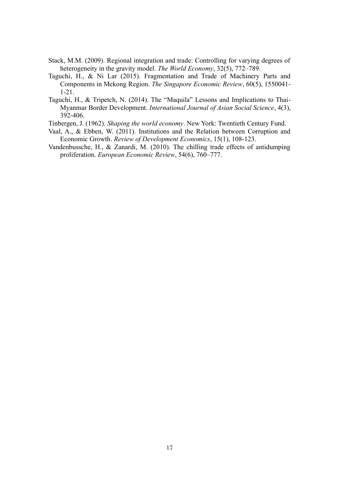- Stack, M.M. (2009). Regional integration and trade: Controlling for varying degrees of heterogeneity in the gravity model. *The World Economy*, 32(5), 772–789.
- Taguchi, H., & Ni Lar (2015). Fragmentation and Trade of Machinery Parts and Components in Mekong Region. *The Singapore Economic Review*, 60(5), 1550041- 1-21.
- Taguchi, H., & Tripetch, N. (2014). The "Maquila" Lessons and Implications to Thai-Myanmar Border Development. *International Journal of Asian Social Science*, 4(3), 392-406.
- Tinbergen, J. (1962). *Shaping the world economy*. New York: Twentieth Century Fund.
- Vaal, A., & Ebben, W. (2011). Institutions and the Relation between Corruption and Economic Growth. *Review of Development Economics*, 15(1), 108-123.
- Vandenbussche, H., & Zanardi, M. (2010). The chilling trade effects of antidumping proliferation. *European Economic Review*, 54(6), 760–777.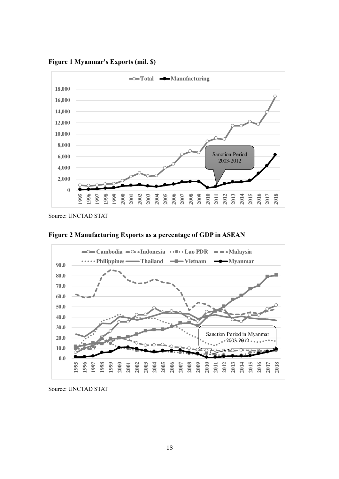**0 2,000 4,000 6,000 8,000 10,000 12,000 14,000 16,000 18,000 1995 1996 1997 1998 1999 2000 2001 2002 2003 2004 2005 2006 2007 2008 2009 2010 2011 2012 2013 2014 2015 2016 2017 2018 Total <del>◆</del>Manufacturing** Sanction Period 2003-2012

**Figure 1 Myanmar's Exports (mil. \$)**

Source: UNCTAD STAT



**Figure 2 Manufacturing Exports as a percentage of GDP in ASEAN**

**2000 2001 2002 2003 2004**

Source: UNCTAD STAT

**1995 1996 1997 1998 1999**

**0.0 10.0**

**2005 2006 2007 2008 2009 2010 2011 2012 2013 2014 2015 2016** **2017 2018**

 $-2003-2012$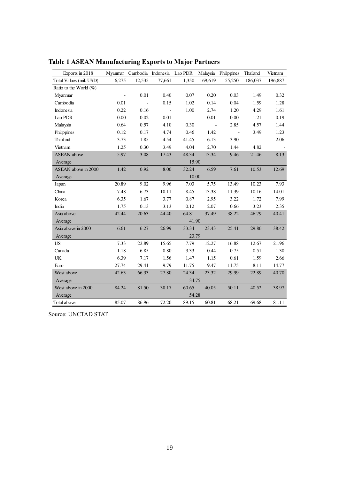| Exports in 2018           |                     | Myanmar Cambodia Indonesia Lao PDR |          |                |         | Malaysia Philippines | Thailand | Vietnam |
|---------------------------|---------------------|------------------------------------|----------|----------------|---------|----------------------|----------|---------|
| Total Values (mil. USD)   | 6,275               | 12,535                             | 77,661   | 1,350          | 169,619 | 55,250               | 186,037  | 196,887 |
| Ratio to the World $(\%)$ |                     |                                    |          |                |         |                      |          |         |
| Myanmar                   | $\bar{\phantom{a}}$ | 0.01                               | 0.40     | 0.07           | 0.20    | 0.03                 | 1.49     | 0.32    |
| Cambodia                  | 0.01                |                                    | 0.15     | 1.02           | 0.14    | 0.04                 | 1.59     | 1.28    |
| Indonesia                 | 0.22                | 0.16                               |          | $1.00\,$       | 2.74    | 1.20                 | 4.29     | 1.61    |
| Lao PDR                   | 0.00                | 0.02                               | $0.01\,$ | $\blacksquare$ | 0.01    | 0.00                 | 1.21     | 0.19    |
| Malaysia                  | 0.64                | 0.57                               | 4.10     | 0.30           | $\sim$  | 2.85                 | 4.57     | 1.44    |
| Philippines               | 0.12                | 0.17                               | 4.74     | 0.46           | 1.42    | $\sim$               | 3.49     | 1.23    |
| Thailand                  | 3.73                | 1.85                               | 4.54     | 41.45          | 6.13    | 3.90                 | $\sim$   | 2.06    |
| Vietnam                   | 1.25                | 0.30                               | 3.49     | 4.04           | 2.70    | 1.44                 | 4.82     |         |
| <b>ASEAN</b> above        | 5.97                | 3.08                               | 17.43    | 48.34          | 13.34   | 9.46                 | 21.46    | 8.13    |
| Average                   | 15.90               |                                    |          |                |         |                      |          |         |
| ASEAN above in 2000       | 1.42                | 0.92                               | 8.00     | 32.24          | 6.59    | 7.61                 | 10.53    | 12.69   |
| Average                   | 10.00               |                                    |          |                |         |                      |          |         |
| Japan                     | 20.89               | 9.02                               | 9.96     | 7.03           | 5.75    | 13.49                | 10.23    | 7.93    |
| China                     | 7.48                | 6.73                               | 10.11    | 8.45           | 13.38   | 11.39                | 10.16    | 14.01   |
| Korea                     | 6.35                | 1.67                               | 3.77     | 0.87           | 2.95    | 3.22                 | 1.72     | 7.99    |
| India                     | 1.75                | 0.13                               | 3.13     | 0.12           | 2.07    | 0.66                 | 3.23     | 2.35    |
| Asia above                | 42.44               | 20.63                              | 44.40    | 64.81          | 37.49   | 38.22                | 46.79    | 40.41   |
| Average                   | 41.90               |                                    |          |                |         |                      |          |         |
| Asia above in 2000        | 6.61                | 6.27                               | 26.99    | 33.34          | 23.43   | 25.41                | 29.86    | 38.42   |
| Average                   | 23.79               |                                    |          |                |         |                      |          |         |
| <b>US</b>                 | 7.33                | 22.89                              | 15.65    | 7.79           | 12.27   | 16.88                | 12.67    | 21.96   |
| Canada                    | 1.18                | 6.85                               | 0.80     | 3.33           | 0.44    | 0.75                 | 0.51     | 1.30    |
| UK                        | 6.39                | 7.17                               | 1.56     | 1.47           | 1.15    | 0.61                 | 1.59     | 2.66    |
| Euro                      | 27.74               | 29.41                              | 9.79     | 11.75          | 9.47    | 11.75                | 8.11     | 14.77   |
| West above                | 42.63               | 66.33                              | 27.80    | 24.34          | 23.32   | 29.99                | 22.89    | 40.70   |
| Average                   | 34.75               |                                    |          |                |         |                      |          |         |
| West above in 2000        | 84.24               | 81.50                              | 38.17    | 60.65          | 40.05   | 50.11                | 40.52    | 38.97   |
| Average                   | 54.28               |                                    |          |                |         |                      |          |         |
| Total above               | 85.07               | 86.96                              | 72.20    | 89.15          | 60.81   | 68.21                | 69.68    | 81.11   |

**Table 1 ASEAN Manufacturing Exports to Major Partners**

Source: UNCTAD STAT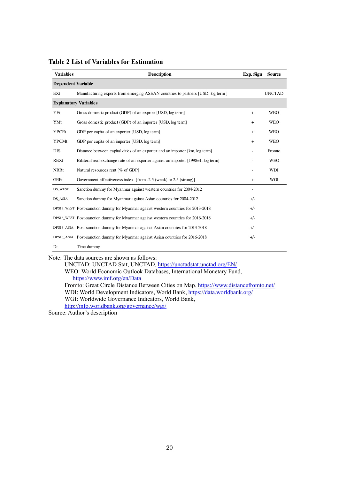| <b>Variables</b>             | <b>Description</b>                                                                 | Exp. Sign | <b>Source</b> |  |  |  |
|------------------------------|------------------------------------------------------------------------------------|-----------|---------------|--|--|--|
|                              | <b>Dependent Variable</b>                                                          |           |               |  |  |  |
| EXt                          | Manufacturing exports from emerging ASEAN countries to partners [USD, log term ]   |           | <b>UNCTAD</b> |  |  |  |
| <b>Explanatory Variables</b> |                                                                                    |           |               |  |  |  |
| YEt                          | Gross domestic product (GDP) of an exprter [USD, log term]                         | $+$       | <b>WEO</b>    |  |  |  |
| YMt                          | Gross domestic product (GDP) of an importer [USD, log term]                        | $+$       | <b>WEO</b>    |  |  |  |
| <b>YPCEt</b>                 | GDP per capita of an exporter [USD, log term]                                      | $+$       | <b>WEO</b>    |  |  |  |
| <b>YPCMt</b>                 | GDP per capita of an importer [USD, log term]                                      | $+$       | <b>WEO</b>    |  |  |  |
| <b>DIS</b>                   | Distance between capital cities of an exporter and an importer [km, log term]      |           | Fromto        |  |  |  |
| <b>REXt</b>                  | Bilateral real exchange rate of an exporter against an importer [1998–1, log term] |           | <b>WEO</b>    |  |  |  |
| <b>NRRt</b>                  | Natural resources rent [% of GDP]                                                  |           | WDI           |  |  |  |
| <b>GEFt</b>                  | Government effectiveness index [from -2.5 (weak) to 2.5 (strong)]                  | $+$       | WGI           |  |  |  |
| DS_WEST                      | Sanction dummy for Myanmar against western countries for 2004-2012                 |           |               |  |  |  |
| DS_ASIA                      | Sanction dummy for Myanmar against Asian countries for 2004-2012                   | $+/-$     |               |  |  |  |
|                              | DPS13_WEST Post-sanction dummy for Myanmar against western countries for 2013-2018 | $+/-$     |               |  |  |  |
|                              | DPS16_WEST Post-sanction dummy for Myanmar against western countries for 2016-2018 | $+/-$     |               |  |  |  |
|                              | DPS13_ASIA Post-sanction dummy for Myanmar against Asian countries for 2013-2018   | $+/-$     |               |  |  |  |
|                              | DPS16_ASIA Post-sanction dummy for Myanmar against Asian countries for 2016-2018   | $+/-$     |               |  |  |  |
| Dt                           | Time dummy                                                                         |           |               |  |  |  |

**Table 2 List of Variables for Estimation**

Note: The data sources are shown as follows:

UNCTAD: UNCTAD Stat, UNCTAD,<https://unctadstat.unctad.org/EN/>

WEO: World Economic Outlook Databases, International Monetary Fund, <https://www.imf.org/en/Data> Fromto: Great Circle Distance Between Cities on Map[, https://www.distancefromto.net/](https://www.distancefromto.net/)

WDI: World Development Indicators, World Bank[, https://data.worldbank.org/](https://data.worldbank.org/) WGI: Worldwide Governance Indicators, World Bank,

<http://info.worldbank.org/governance/wgi/>

Source: Author's description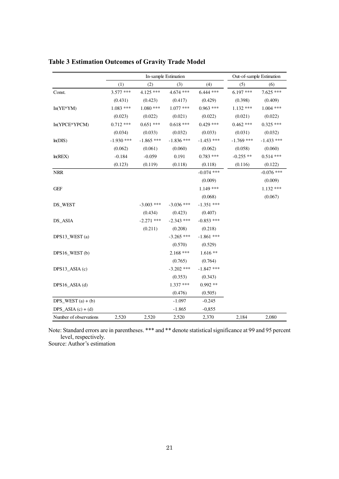|                        |              | In-sample Estimation | Out-of-sample Estimation |              |              |              |
|------------------------|--------------|----------------------|--------------------------|--------------|--------------|--------------|
|                        | (1)          | (2)                  | (3)                      | (4)          | (5)          | (6)          |
| Const.                 | $3.577$ ***  | $4.125$ ***          | $4.674$ ***              | $6.444$ ***  | $6.197***$   | $7.625$ ***  |
|                        | (0.431)      | (0.423)              | (0.417)                  | (0.429)      | (0.398)      | (0.409)      |
| $In(YE*YM)$            | $1.083$ ***  | $1.080$ ***          | $1.077$ ***              | $0.963$ ***  | $1.132***$   | $1.004$ ***  |
|                        | (0.023)      | (0.022)              | (0.021)                  | (0.022)      | (0.021)      | (0.022)      |
| In(YPCE*YPCM)          | $0.712$ ***  | $0.651$ ***          | $0.618***$               | $0.429$ ***  | $0.462$ ***  | $0.325$ ***  |
|                        | (0.034)      | (0.033)              | (0.032)                  | (0.033)      | (0.031)      | (0.032)      |
| ln(DIS)                | $-1.930$ *** | $-1.865$ ***         | $-1.836$ ***             | $-1.453$ *** | $-1.769$ *** | $-1.433$ *** |
|                        | (0.062)      | (0.061)              | (0.060)                  | (0.062)      | (0.058)      | (0.060)      |
| ln(REX)                | $-0.184$     | $-0.059$             | 0.191                    | $0.783$ ***  | $-0.255$ **  | $0.514$ ***  |
|                        | (0.123)      | (0.119)              | (0.118)                  | (0.118)      | (0.116)      | (0.122)      |
| <b>NRR</b>             |              |                      |                          | $-0.074$ *** |              | $-0.076$ *** |
|                        |              |                      |                          | (0.009)      |              | (0.009)      |
| <b>GEF</b>             |              |                      |                          | $1.149$ ***  |              | $1.132$ ***  |
|                        |              |                      |                          | (0.068)      |              | (0.067)      |
| DS WEST                |              | $-3.003$ ***         | $-3.036$ ***             | $-1.351$ *** |              |              |
|                        |              | (0.434)              | (0.423)                  | (0.407)      |              |              |
| DS_ASIA                |              | $-2.271$ ***         | $-2.343$ ***             | $-0.853$ *** |              |              |
|                        |              | (0.211)              | (0.208)                  | (0.218)      |              |              |
| DPS13_WEST(a)          |              |                      | $-3.265$ ***             | $-1.861$ *** |              |              |
|                        |              |                      | (0.570)                  | (0.529)      |              |              |
| DPS16 WEST (b)         |              |                      | $2.168$ ***              | $1.616**$    |              |              |
|                        |              |                      | (0.765)                  | (0.764)      |              |              |
| DPS13 $ASIA(c)$        |              |                      | $-3.202$ ***             | $-1.847$ *** |              |              |
|                        |              |                      | (0.353)                  | (0.343)      |              |              |
| DPS16 $ASIA(d)$        |              |                      | $1.337***$               | $0.992**$    |              |              |
|                        |              |                      | (0.476)                  | (0.505)      |              |              |
| DPS WEST $(a) + (b)$   |              |                      | $-1.097$                 | $-0.245$     |              |              |
| $DPS\_ASIA(c) + (d)$   |              |                      | $-1.865$                 | $-0,855$     |              |              |
| Number of observations | 2,520        | 2,520                | 2,520                    | 2,370        | 2,184        | 2,080        |

**Table 3 Estimation Outcomes of Gravity Trade Model**

Note: Standard errors are in parentheses. \*\*\* and \*\* denote statistical significance at 99 and 95 percent level, respectively. Source: Author's estimation